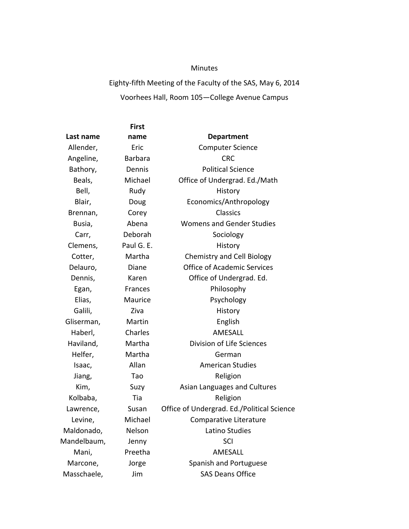## Minutes

## Eighty‐fifth Meeting of the Faculty of the SAS, May 6, 2014 Voorhees Hall, Room 105—College Avenue Campus

|             | <b>First</b>   |                                            |
|-------------|----------------|--------------------------------------------|
| Last name   | name           | <b>Department</b>                          |
| Allender,   | Eric           | <b>Computer Science</b>                    |
| Angeline,   | <b>Barbara</b> | <b>CRC</b>                                 |
| Bathory,    | Dennis         | <b>Political Science</b>                   |
| Beals,      | Michael        | Office of Undergrad. Ed./Math              |
| Bell,       | Rudy           | History                                    |
| Blair,      | Doug           | Economics/Anthropology                     |
| Brennan,    | Corey          | Classics                                   |
| Busia,      | Abena          | <b>Womens and Gender Studies</b>           |
| Carr,       | Deborah        | Sociology                                  |
| Clemens,    | Paul G. E.     | History                                    |
| Cotter,     | Martha         | <b>Chemistry and Cell Biology</b>          |
| Delauro,    | Diane          | <b>Office of Academic Services</b>         |
| Dennis,     | Karen          | Office of Undergrad. Ed.                   |
| Egan,       | Frances        | Philosophy                                 |
| Elias,      | Maurice        | Psychology                                 |
| Galili,     | Ziva           | History                                    |
| Gliserman,  | Martin         | English                                    |
| Haberl,     | Charles        | AMESALL                                    |
| Haviland,   | Martha         | Division of Life Sciences                  |
| Helfer,     | Martha         | German                                     |
| Isaac,      | Allan          | <b>American Studies</b>                    |
| Jiang,      | Tao            | Religion                                   |
| Kim,        | Suzy           | Asian Languages and Cultures               |
| Kolbaba,    | Tia            | Religion                                   |
| Lawrence,   | Susan          | Office of Undergrad. Ed./Political Science |
| Levine,     | Michael        | Comparative Literature                     |
| Maldonado,  | Nelson         | Latino Studies                             |
| Mandelbaum, | Jenny          | SCI                                        |
| Mani,       | Preetha        | AMESALL                                    |
| Marcone,    | Jorge          | Spanish and Portuguese                     |
| Masschaele, | Jim            | <b>SAS Deans Office</b>                    |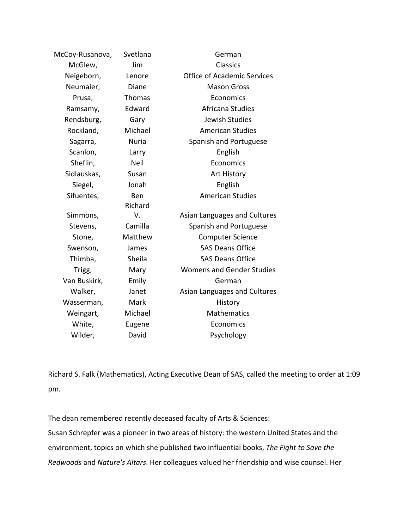| McCoy-Rusanova, | Svetlana      | German                             |
|-----------------|---------------|------------------------------------|
| McGlew,         | Jim           | <b>Classics</b>                    |
| Neigeborn,      | Lenore        | <b>Office of Academic Services</b> |
| Neumaier,       | Diane         | <b>Mason Gross</b>                 |
| Prusa,          | <b>Thomas</b> | Economics                          |
| Ramsamy,        | Edward        | Africana Studies                   |
| Rendsburg,      | Gary          | <b>Jewish Studies</b>              |
| Rockland,       | Michael       | <b>American Studies</b>            |
| Sagarra,        | <b>Nuria</b>  | Spanish and Portuguese             |
| Scanlon,        | Larry         | English                            |
| Sheflin,        | <b>Neil</b>   | Economics                          |
| Sidlauskas,     | Susan         | <b>Art History</b>                 |
| Siegel,         | Jonah         | English                            |
| Sifuentes,      | Ben           | <b>American Studies</b>            |
|                 | Richard       |                                    |
| Simmons,        | V.            | Asian Languages and Cultures       |
| Stevens,        | Camilla       | Spanish and Portuguese             |
| Stone,          | Matthew       | <b>Computer Science</b>            |
| Swenson,        | James         | <b>SAS Deans Office</b>            |
| Thimba,         | Sheila        | <b>SAS Deans Office</b>            |
| Trigg,          | Mary          | <b>Womens and Gender Studies</b>   |
| Van Buskirk,    | Emily         | German                             |
| Walker,         | Janet         | Asian Languages and Cultures       |
| Wasserman,      | Mark          | History                            |
| Weingart,       | Michael       | <b>Mathematics</b>                 |
| White,          | Eugene        | Economics                          |
| Wilder,         | David         | Psychology                         |

Richard S. Falk (Mathematics), Acting Executive Dean of SAS, called the meeting to order at 1:09 pm.

The dean remembered recently deceased faculty of Arts & Sciences: Susan Schrepfer was a pioneer in two areas of history: the western United States and the environment, topics on which she published two influential books, *The Fight to Save the Redwoods* and *Nature's Altars*. Her colleagues valued her friendship and wise counsel. Her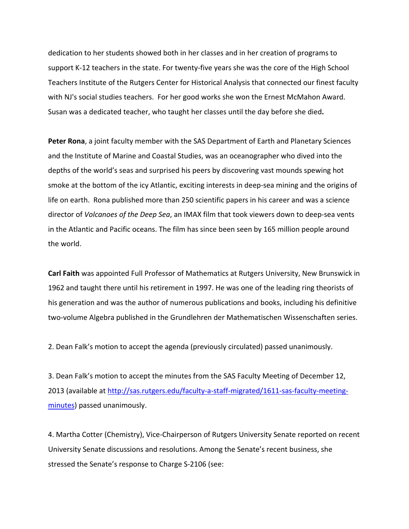dedication to her students showed both in her classes and in her creation of programs to support K-12 teachers in the state. For twenty-five years she was the core of the High School Teachers Institute of the Rutgers Center for Historical Analysis that connected our finest faculty with NJ's social studies teachers. For her good works she won the Ernest McMahon Award. Susan was a dedicated teacher, who taught her classes until the day before she died**.** 

**Peter Rona**, a joint faculty member with the SAS Department of Earth and Planetary Sciences and the Institute of Marine and Coastal Studies, was an oceanographer who dived into the depths of the world's seas and surprised his peers by discovering vast mounds spewing hot smoke at the bottom of the icy Atlantic, exciting interests in deep-sea mining and the origins of life on earth. Rona published more than 250 scientific papers in his career and was a science director of *Volcanoes of the Deep Sea*, an IMAX film that took viewers down to deep‐sea vents in the Atlantic and Pacific oceans. The film has since been seen by 165 million people around the world.

**Carl Faith** was appointed Full Professor of Mathematics at Rutgers University, New Brunswick in 1962 and taught there until his retirement in 1997. He was one of the leading ring theorists of his generation and was the author of numerous publications and books, including his definitive two‐volume Algebra published in the Grundlehren der Mathematischen Wissenschaften series.

2. Dean Falk's motion to accept the agenda (previously circulated) passed unanimously.

3. Dean Falk's motion to accept the minutes from the SAS Faculty Meeting of December 12, 2013 (available at http://sas.rutgers.edu/faculty‐a‐staff‐migrated/1611‐sas‐faculty‐meeting‐ minutes) passed unanimously.

4. Martha Cotter (Chemistry), Vice-Chairperson of Rutgers University Senate reported on recent University Senate discussions and resolutions. Among the Senate's recent business, she stressed the Senate's response to Charge S‐2106 (see: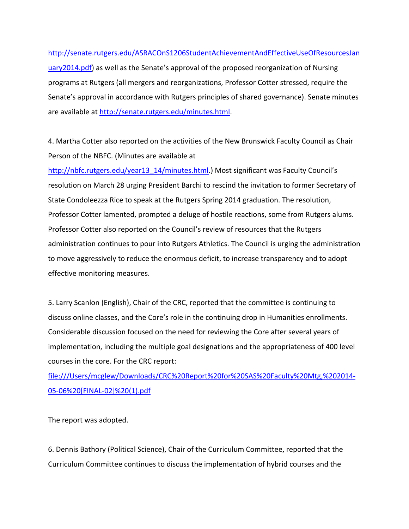http://senate.rutgers.edu/ASRACOnS1206StudentAchievementAndEffectiveUseOfResourcesJan uary2014.pdf) as well as the Senate's approval of the proposed reorganization of Nursing programs at Rutgers (all mergers and reorganizations, Professor Cotter stressed, require the Senate's approval in accordance with Rutgers principles of shared governance). Senate minutes are available at http://senate.rutgers.edu/minutes.html.

4. Martha Cotter also reported on the activities of the New Brunswick Faculty Council as Chair Person of the NBFC. (Minutes are available at

http://nbfc.rutgers.edu/year13\_14/minutes.html.) Most significant was Faculty Council's resolution on March 28 urging President Barchi to rescind the invitation to former Secretary of State Condoleezza Rice to speak at the Rutgers Spring 2014 graduation. The resolution, Professor Cotter lamented, prompted a deluge of hostile reactions, some from Rutgers alums. Professor Cotter also reported on the Council's review of resources that the Rutgers administration continues to pour into Rutgers Athletics. The Council is urging the administration to move aggressively to reduce the enormous deficit, to increase transparency and to adopt effective monitoring measures.

5. Larry Scanlon (English), Chair of the CRC, reported that the committee is continuing to discuss online classes, and the Core's role in the continuing drop in Humanities enrollments. Considerable discussion focused on the need for reviewing the Core after several years of implementation, including the multiple goal designations and the appropriateness of 400 level courses in the core. For the CRC report:

file:///Users/mcglew/Downloads/CRC%20Report%20for%20SAS%20Faculty%20Mtg,%202014‐ 05‐06%20[FINAL‐02]%20(1).pdf

The report was adopted.

6. Dennis Bathory (Political Science), Chair of the Curriculum Committee, reported that the Curriculum Committee continues to discuss the implementation of hybrid courses and the